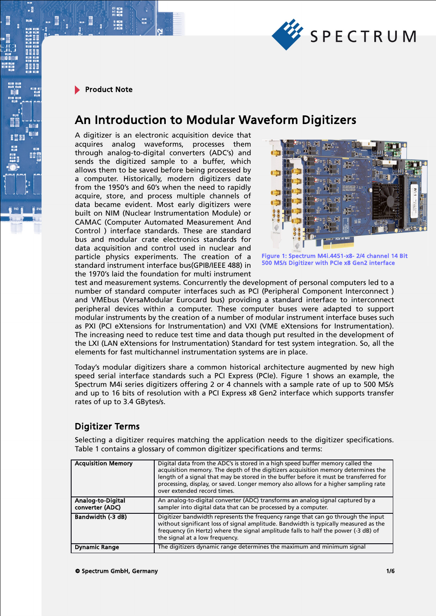

# An Introduction to Modular Waveform Digitizers

A digitizer is an electronic acquisition device that acquires analog waveforms, processes them through analog-to-digital converters (ADC's) and sends the digitized sample to a buffer, which allows them to be saved before being processed by a computer. Historically, modern digitizers date from the 1950's and 60's when the need to rapidly acquire, store, and process multiple channels of data became evident. Most early digitizers were built on NIM (Nuclear Instrumentation Module) or CAMAC (Computer Automated Measurement And Control ) interface standards. These are standard bus and modular crate electronics standards for data acquisition and control used in nuclear and particle physics experiments. The creation of a standard instrument interface bus(GPIB/IEEE 488) in the 1970's laid the foundation for multi instrument



Figure 1: Spectrum M4i.4451-x8- 2/4 channel 14 Bit 500 MS/s Digitizer with PCIe x8 Gen2 interface

test and measurement systems. Concurrently the development of personal computers led to a number of standard computer interfaces such as PCI (Peripheral Component Interconnect ) and VMEbus (VersaModular Eurocard bus) providing a standard interface to interconnect peripheral devices within a computer. These computer buses were adapted to support modular instruments by the creation of a number of modular instrument interface buses such as PXI (PCI eXtensions for Instrumentation) and VXI (VME eXtensions for Instrumentation). The increasing need to reduce test time and data though put resulted in the development of the LXI (LAN eXtensions for Instrumentation) Standard for test system integration. So, all the elements for fast multichannel instrumentation systems are in place.

Today's modular digitizers share a common historical architecture augmented by new high speed serial interface standards such a PCI Express (PCIe). Figure 1 shows an example, the Spectrum M4i series digitizers offering 2 or 4 channels with a sample rate of up to 500 MS/s and up to 16 bits of resolution with a PCI Express x8 Gen2 interface which supports transfer rates of up to 3.4 GBytes/s.

# Digitizer Terms

Selecting a digitizer requires matching the application needs to the digitizer specifications. Table 1 contains a glossary of common digitizer specifications and terms:

| <b>Acquisition Memory</b>            | Digital data from the ADC's is stored in a high speed buffer memory called the<br>acquisition memory. The depth of the digitizers acquisition memory determines the<br>length of a signal that may be stored in the buffer before it must be transferred for<br>processing, display, or saved. Longer memory also allows for a higher sampling rate<br>over extended record times. |
|--------------------------------------|------------------------------------------------------------------------------------------------------------------------------------------------------------------------------------------------------------------------------------------------------------------------------------------------------------------------------------------------------------------------------------|
| Analog-to-Digital<br>converter (ADC) | An analog-to-digital converter (ADC) transforms an analog signal captured by a<br>sampler into digital data that can be processed by a computer.                                                                                                                                                                                                                                   |
| Bandwidth (-3 dB)                    | Digitizer bandwidth represents the frequency range that can go through the input<br>without significant loss of signal amplitude. Bandwidth is typically measured as the<br>frequency (in Hertz) where the signal amplitude falls to half the power (-3 dB) of<br>the signal at a low frequency.                                                                                   |
| <b>Dynamic Range</b>                 | The digitizers dynamic range determines the maximum and minimum signal                                                                                                                                                                                                                                                                                                             |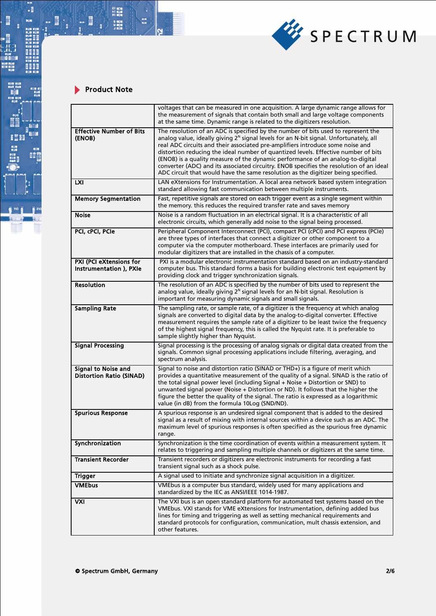

- 21 中国<br>41 年間<br>51 年間 - 8 中国時代<br>51 年間

na<br>Tua

 $\mathbf{I} \cdot \mathbb{R}$ 

 $\frac{1}{2}$ 

**Not the second contract of the second contract of the second contract of the second contract of the second contract of the second contract of the second contract of the second contract of the second contract of the second** 

**BO** 

ī

List of the Control of the Control of the Control of the Control of the Control of the Control of the Control o<br>List of the Control of the Control of the Control of the Control of the Control of the Control of the Control

|                                                        | voltages that can be measured in one acquisition. A large dynamic range allows for<br>the measurement of signals that contain both small and large voltage components<br>at the same time. Dynamic range is related to the digitizers resolution.                                                                                                                                                                                                                                                                                                                                                                                |
|--------------------------------------------------------|----------------------------------------------------------------------------------------------------------------------------------------------------------------------------------------------------------------------------------------------------------------------------------------------------------------------------------------------------------------------------------------------------------------------------------------------------------------------------------------------------------------------------------------------------------------------------------------------------------------------------------|
| <b>Effective Number of Bits</b><br>(ENOB)              | The resolution of an ADC is specified by the number of bits used to represent the<br>analog value, ideally giving 2 <sup>N</sup> signal levels for an N-bit signal. Unfortunately, all<br>real ADC circuits and their associated pre-amplifiers introduce some noise and<br>distortion reducing the ideal number of quantized levels. Effective number of bits<br>(ENOB) is a quality measure of the dynamic performance of an analog-to-digital<br>converter (ADC) and its associated circuitry. ENOB specifies the resolution of an ideal<br>ADC circuit that would have the same resolution as the digitizer being specified. |
| LXI                                                    | LAN eXtensions for Instrumentation. A local area network based system integration<br>standard allowing fast communication between multiple instruments.                                                                                                                                                                                                                                                                                                                                                                                                                                                                          |
| <b>Memory Segmentation</b>                             | Fast, repetitive signals are stored on each trigger event as a single segment within<br>the memory, this reduces the required transfer rate and saves memory                                                                                                                                                                                                                                                                                                                                                                                                                                                                     |
| <b>Noise</b>                                           | Noise is a random fluctuation in an electrical signal. It is a characteristic of all<br>electronic circuits, which generally add noise to the signal being processed.                                                                                                                                                                                                                                                                                                                                                                                                                                                            |
| PCI, cPCI, PCIe                                        | Peripheral Component Interconnect (PCI), compact PCI (cPCI) and PCI express (PCIe)<br>are three types of interfaces that connect a digitizer or other component to a<br>computer via the computer motherboard. These interfaces are primarily used for<br>modular digitizers that are installed in the chassis of a computer.                                                                                                                                                                                                                                                                                                    |
| PXI (PCI eXtensions for<br>Instrumentation ), PXIe     | PXI is a modular electronic instrumentation standard based on an industry-standard<br>computer bus. This standard forms a basis for building electronic test equipment by<br>providing clock and trigger synchronization signals.                                                                                                                                                                                                                                                                                                                                                                                                |
| <b>Resolution</b>                                      | The resolution of an ADC is specified by the number of bits used to represent the<br>analog value, ideally giving 2 <sup>N</sup> signal levels for an N-bit signal. Resolution is<br>important for measuring dynamic signals and small signals.                                                                                                                                                                                                                                                                                                                                                                                  |
| <b>Sampling Rate</b>                                   | The sampling rate, or sample rate, of a digitizer is the frequency at which analog<br>signals are converted to digital data by the analog-to-digital converter. Effective<br>measurement requires the sample rate of a digitizer to be least twice the frequency<br>of the highest signal frequency, this is called the Nyquist rate. It is preferable to<br>sample slightly higher than Nyquist.                                                                                                                                                                                                                                |
| <b>Signal Processing</b>                               | Signal processing is the processing of analog signals or digital data created from the<br>signals. Common signal processing applications include filtering, averaging, and<br>spectrum analysis.                                                                                                                                                                                                                                                                                                                                                                                                                                 |
| Signal to Noise and<br><b>Distortion Ratio (SINAD)</b> | Signal to noise and distortion ratio (SINAD or THD+) is a figure of merit which<br>provides a quantitative measurement of the quality of a signal. SINAD is the ratio of<br>the total signal power level (including Signal + Noise + Distortion or SND) to<br>unwanted signal power (Noise + Distortion or ND). It follows that the higher the<br>figure the better the quality of the signal. The ratio is expressed as a logarithmic<br>value (in dB) from the formula 10Log (SND/ND).                                                                                                                                         |
| <b>Spurious Response</b>                               | A spurious response is an undesired signal component that is added to the desired<br>signal as a result of mixing with internal sources within a device such as an ADC. The<br>maximum level of spurious responses is often specified as the spurious free dynamic<br>range.                                                                                                                                                                                                                                                                                                                                                     |
| Synchronization                                        | Synchronization is the time coordination of events within a measurement system. It<br>relates to triggering and sampling multiple channels or digitizers at the same time.                                                                                                                                                                                                                                                                                                                                                                                                                                                       |
| <b>Transient Recorder</b>                              | Transient recorders or digitizers are electronic instruments for recording a fast<br>transient signal such as a shock pulse.                                                                                                                                                                                                                                                                                                                                                                                                                                                                                                     |
| <b>Trigger</b>                                         | A signal used to initiate and synchronize signal acquisition in a digitizer.                                                                                                                                                                                                                                                                                                                                                                                                                                                                                                                                                     |
| <b>VMEbus</b>                                          | VMEbus is a computer bus standard, widely used for many applications and<br>standardized by the IEC as ANSI/IEEE 1014-1987.                                                                                                                                                                                                                                                                                                                                                                                                                                                                                                      |
| <b>VXI</b>                                             | The VXI bus is an open standard platform for automated test systems based on the<br>VMEbus. VXI stands for VME eXtensions for Instrumentation, defining added bus<br>lines for timing and triggering as well as setting mechanical requirements and<br>standard protocols for configuration, communication, mult chassis extension, and<br>other features.                                                                                                                                                                                                                                                                       |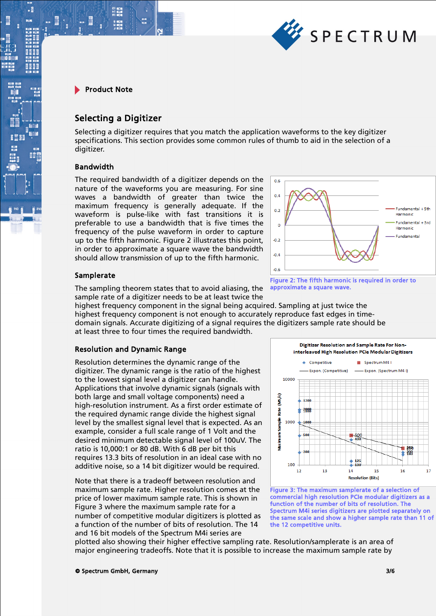

.

# Selecting a Digitizer

Selecting a digitizer requires that you match the application waveforms to the key digitizer specifications. This section provides some common rules of thumb to aid in the selection of a digitizer.

#### Bandwidth

The required bandwidth of a digitizer depends on the nature of the waveforms you are measuring. For sine waves a bandwidth of greater than twice the maximum frequency is generally adequate. If the waveform is pulse-like with fast transitions it is preferable to use a bandwidth that is five times the frequency of the pulse waveform in order to capture up to the fifth harmonic. Figure 2 illustrates this point, in order to approximate a square wave the bandwidth should allow transmission of up to the fifth harmonic.



approximate a square wave.

# Samplerate

The sampling theorem states that to avoid aliasing, the sample rate of a digitizer needs to be at least twice the

highest frequency component in the signal being acquired. Sampling at just twice the highest frequency component is not enough to accurately reproduce fast edges in timedomain signals. Accurate digitizing of a signal requires the digitizers sample rate should be at least three to four times the required bandwidth.

# Resolution and Dynamic Range

Resolution determines the dynamic range of the digitizer. The dynamic range is the ratio of the highest to the lowest signal level a digitizer can handle. Applications that involve dynamic signals (signals with both large and small voltage components) need a high-resolution instrument. As a first order estimate of the required dynamic range divide the highest signal level by the smallest signal level that is expected. As an example, consider a full scale range of 1 Volt and the desired minimum detectable signal level of 100uV. The ratio is 10,000:1 or 80 dB. With 6 dB per bit this requires 13.3 bits of resolution in an ideal case with no additive noise, so a 14 bit digitizer would be required.

Note that there is a tradeoff between resolution and maximum sample rate. Higher resolution comes at the price of lower maximum sample rate. This is shown in Figure 3 where the maximum sample rate for a number of competitive modular digitizers is plotted as a function of the number of bits of resolution. The 14 and 16 bit models of the Spectrum M4i series are

Digitizer Resolution and Sample Rate For Noninterleaved High Resolution PCIe Modular Digitizers  $\triangle$  Competitive Spectrum M4 I - Exnon (Competitive) Fxnon (Spectrum M4 I)  $10000$  $(Ms/s)$  $\frac{1}{2}$ **Right** 2999 Vlaximum Sample 1000  $1000$  $-298$ 125 100  $12$  $13$  $14$  $15$ 16  $17$ **Resolution (Bits)** 

Figure 3: The maximum samplerate of a selection of commercial high resolution PCIe modular digitizers as a function of the number of bits of resolution. The Spectrum M4i series digitizers are plotted separately on the same scale and show a higher sample rate than 11 of the 12 competitive units.

plotted also showing their higher effective sampling rate. Resolution/samplerate is an area of major engineering tradeoffs. Note that it is possible to increase the maximum sample rate by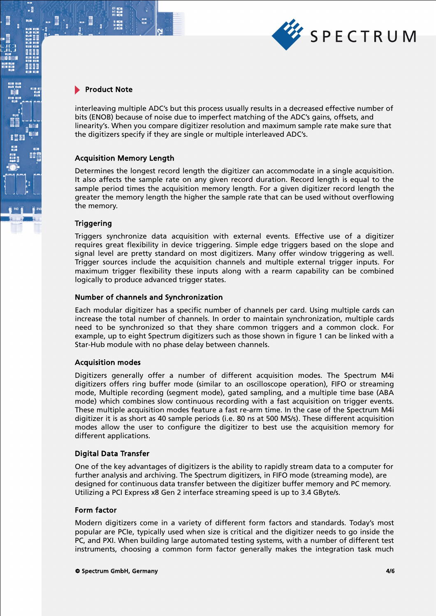

.

interleaving multiple ADC's but this process usually results in a decreased effective number of bits (ENOB) because of noise due to imperfect matching of the ADC's gains, offsets, and linearity's. When you compare digitizer resolution and maximum sample rate make sure that the digitizers specify if they are single or multiple interleaved ADC's.

#### Acquisition Memory Length

Determines the longest record length the digitizer can accommodate in a single acquisition. It also affects the sample rate on any given record duration. Record length is equal to the sample period times the acquisition memory length. For a given digitizer record length the greater the memory length the higher the sample rate that can be used without overflowing the memory.

#### **Triggering**

Triggers synchronize data acquisition with external events. Effective use of a digitizer requires great flexibility in device triggering. Simple edge triggers based on the slope and signal level are pretty standard on most digitizers. Many offer window triggering as well. Trigger sources include the acquisition channels and multiple external trigger inputs. For maximum trigger flexibility these inputs along with a rearm capability can be combined logically to produce advanced trigger states.

#### Number of channels and Synchronization

Each modular digitizer has a specific number of channels per card. Using multiple cards can increase the total number of channels. In order to maintain synchronization, multiple cards need to be synchronized so that they share common triggers and a common clock. For example, up to eight Spectrum digitizers such as those shown in figure 1 can be linked with a Star-Hub module with no phase delay between channels.

#### Acquisition modes

Digitizers generally offer a number of different acquisition modes. The Spectrum M4i digitizers offers ring buffer mode (similar to an oscilloscope operation), FIFO or streaming mode, Multiple recording (segment mode), gated sampling, and a multiple time base (ABA mode) which combines slow continuous recording with a fast acquisition on trigger events. These multiple acquisition modes feature a fast re-arm time. In the case of the Spectrum M4i digitizer it is as short as 40 sample periods (i.e. 80 ns at 500 MS/s). These different acquisition modes allow the user to configure the digitizer to best use the acquisition memory for different applications.

#### Digital Data Transfer

One of the key advantages of digitizers is the ability to rapidly stream data to a computer for further analysis and archiving. The Spectrum digitizers, in FIFO mode (streaming mode), are designed for continuous data transfer between the digitizer buffer memory and PC memory. Utilizing a PCI Express x8 Gen 2 interface streaming speed is up to 3.4 GByte/s.

#### Form factor

Modern digitizers come in a variety of different form factors and standards. Today's most popular are PCIe, typically used when size is critical and the digitizer needs to go inside the PC, and PXI. When building large automated testing systems, with a number of different test instruments, choosing a common form factor generally makes the integration task much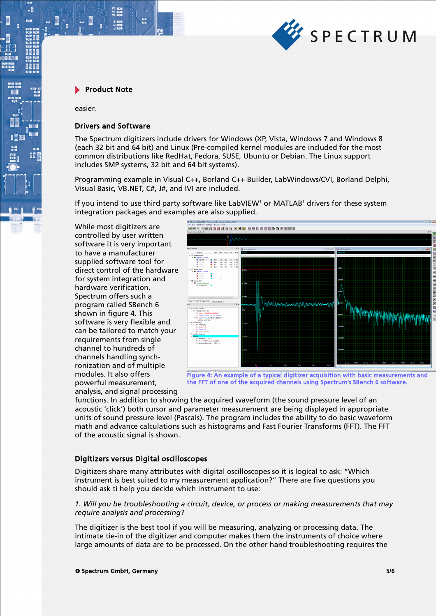

easier.

:

#### Drivers and Software

The Spectrum digitizers include drivers for Windows (XP, Vista, Windows 7 and Windows 8 (each 32 bit and 64 bit) and Linux (Pre-compiled kernel modules are included for the most common distributions like RedHat, Fedora, SUSE, Ubuntu or Debian. The Linux support includes SMP systems, 32 bit and 64 bit systems).

Programming example in Visual C++, Borland C++ Builder, LabWindows/CVI, Borland Delphi, Visual Basic, VB.NET, C#, J#, and IVI are included.

If you intend to use third party software like LabVIEW<sup>1</sup> or MATLAB<sup>1</sup> drivers for these system integration packages and examples are also supplied.

While most digitizers are controlled by user written software it is very important to have a manufacturer supplied software tool for direct control of the hardware for system integration and hardware verification. Spectrum offers such a program called SBench 6 shown in figure 4. This software is very flexible and can be tailored to match your requirements from single channel to hundreds of channels handling synchronization and of multiple modules. It also offers powerful measurement, analysis, and signal processing



Figure 4: An example of a typical digitizer acquisition with basic measurements and the FFT of one of the acquired channels using Spectrum's SBench 6 software.

functions. In addition to showing the acquired waveform (the sound pressure level of an acoustic 'click') both cursor and parameter measurement are being displayed in appropriate units of sound pressure level (Pascals). The program includes the ability to do basic waveform math and advance calculations such as histograms and Fast Fourier Transforms (FFT). The FFT of the acoustic signal is shown.

#### Digitizers versus Digital oscilloscopes

Digitizers share many attributes with digital oscilloscopes so it is logical to ask: "Which instrument is best suited to my measurement application?" There are five questions you should ask ti help you decide which instrument to use:

#### *1. Will you be troubleshooting a circuit, device, or process or making measurements that may require analysis and processing?*

The digitizer is the best tool if you will be measuring, analyzing or processing data. The intimate tie-in of the digitizer and computer makes them the instruments of choice where large amounts of data are to be processed. On the other hand troubleshooting requires the